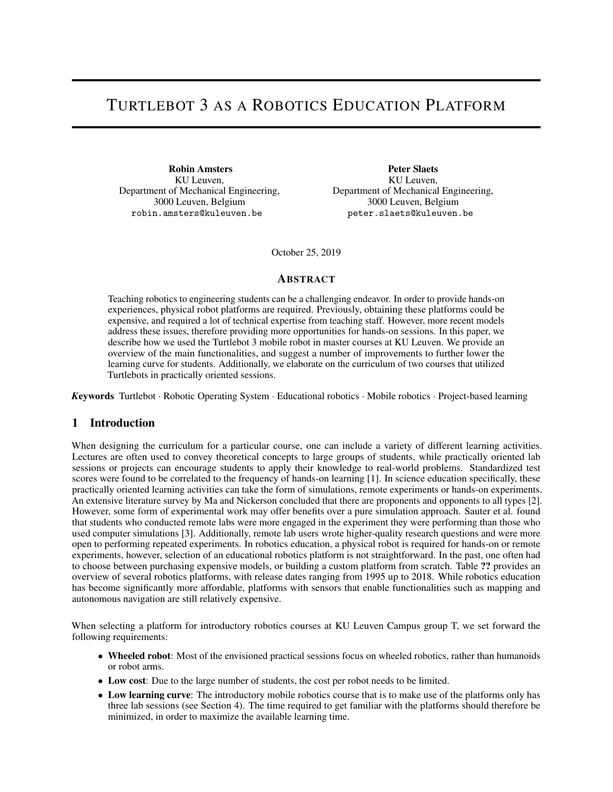# TURTLEBOT 3 AS A ROBOTICS EDUCATION PLATFORM

Robin Amsters KU Leuven, Department of Mechanical Engineering, 3000 Leuven, Belgium robin.amsters@kuleuven.be

Peter Slaets KU Leuven, Department of Mechanical Engineering, 3000 Leuven, Belgium peter.slaets@kuleuven.be

October 25, 2019

#### ABSTRACT

Teaching robotics to engineering students can be a challenging endeavor. In order to provide hands-on experiences, physical robot platforms are required. Previously, obtaining these platforms could be expensive, and required a lot of technical expertise from teaching staff. However, more recent models address these issues, therefore providing more opportunities for hands-on sessions. In this paper, we describe how we used the Turtlebot 3 mobile robot in master courses at KU Leuven. We provide an overview of the main functionalities, and suggest a number of improvements to further lower the learning curve for students. Additionally, we elaborate on the curriculum of two courses that utilized Turtlebots in practically oriented sessions.

*K*eywords Turtlebot · Robotic Operating System · Educational robotics · Mobile robotics · Project-based learning

### 1 Introduction

When designing the curriculum for a particular course, one can include a variety of different learning activities. Lectures are often used to convey theoretical concepts to large groups of students, while practically oriented lab sessions or projects can encourage students to apply their knowledge to real-world problems. Standardized test scores were found to be correlated to the frequency of hands-on learning [\[1\]](#page-7-0). In science education specifically, these practically oriented learning activities can take the form of simulations, remote experiments or hands-on experiments. An extensive literature survey by Ma and Nickerson concluded that there are proponents and opponents to all types [\[2\]](#page-7-1). However, some form of experimental work may offer benefits over a pure simulation approach. Sauter et al. found that students who conducted remote labs were more engaged in the experiment they were performing than those who used computer simulations [\[3\]](#page-7-2). Additionally, remote lab users wrote higher-quality research questions and were more open to performing repeated experiments. In robotics education, a physical robot is required for hands-on or remote experiments, however, selection of an educational robotics platform is not straightforward. In the past, one often had to choose between purchasing expensive models, or building a custom platform from scratch. Table [??](#page-1-0) provides an overview of several robotics platforms, with release dates ranging from 1995 up to 2018. While robotics education has become significantly more affordable, platforms with sensors that enable functionalities such as mapping and autonomous navigation are still relatively expensive.

When selecting a platform for introductory robotics courses at KU Leuven Campus group T, we set forward the following requirements:

- Wheeled robot: Most of the envisioned practical sessions focus on wheeled robotics, rather than humanoids or robot arms.
- Low cost: Due to the large number of students, the cost per robot needs to be limited.
- Low learning curve: The introductory mobile robotics course that is to make use of the platforms only has three lab sessions (see Section [4\)](#page-3-0). The time required to get familiar with the platforms should therefore be minimized, in order to maximize the available learning time.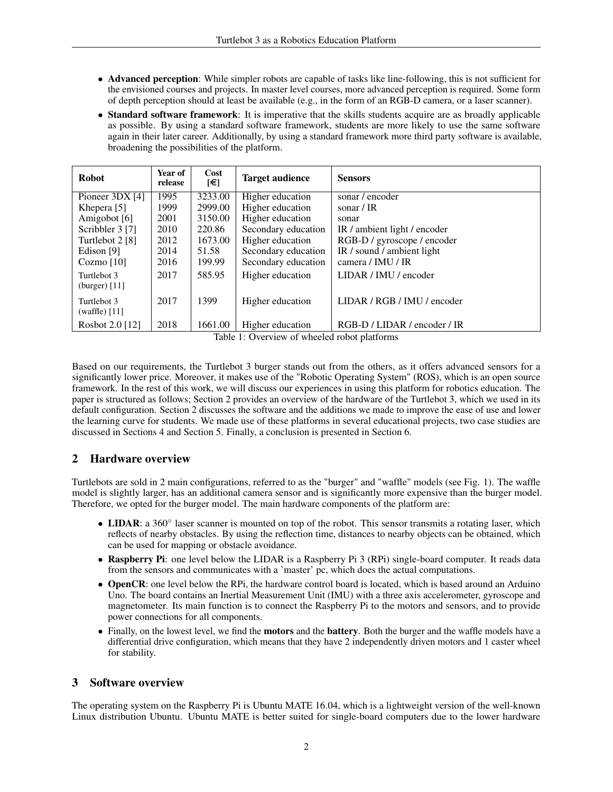- Advanced perception: While simpler robots are capable of tasks like line-following, this is not sufficient for the envisioned courses and projects. In master level courses, more advanced perception is required. Some form of depth perception should at least be available (e.g., in the form of an RGB-D camera, or a laser scanner).
- Standard software framework: It is imperative that the skills students acquire are as broadly applicable as possible. By using a standard software framework, students are more likely to use the same software again in their later career. Additionally, by using a standard framework more third party software is available, broadening the possibilities of the platform.

<span id="page-1-0"></span>

| <b>Robot</b>    | Year of<br>release | Cost<br>[€] | <b>Target audience</b> | <b>Sensors</b>               |
|-----------------|--------------------|-------------|------------------------|------------------------------|
| Pioneer 3DX [4] | 1995               | 3233.00     | Higher education       | sonar / encoder              |
| Khepera $[5]$   | 1999               | 2999.00     | Higher education       | sonar / IR                   |
| Amigobot [6]    | 2001               | 3150.00     | Higher education       | sonar                        |
| Scribbler 3 [7] | 2010               | 220.86      | Secondary education    | IR / ambient light / encoder |
| Turtlebot 2 [8] | 2012               | 1673.00     | Higher education       | RGB-D / gyroscope / encoder  |
| Edison [9]      | 2014               | 51.58       | Secondary education    | IR / sound / ambient light   |
| Cozmo $[10]$    | 2016               | 199.99      | Secondary education    | camera / IMU / IR            |
| Turtlebot 3     | 2017               | 585.95      | Higher education       | LIDAR / IMU / encoder        |
| (burger) [11]   |                    |             |                        |                              |
| Turtlebot 3     | 2017               | 1399        | Higher education       | LIDAR / RGB / IMU / encoder  |
| $(waffle)$ [11] |                    |             |                        |                              |
| Rosbot 2.0 [12] | 2018               | 1661.00     | Higher education       | RGB-D / LIDAR / encoder / IR |

Table 1: Overview of wheeled robot platforms

Based on our requirements, the Turtlebot 3 burger stands out from the others, as it offers advanced sensors for a significantly lower price. Moreover, it makes use of the "Robotic Operating System" (ROS), which is an open source framework. In the rest of this work, we will discuss our experiences in using this platform for robotics education. The paper is structured as follows; Section [2](#page-1-1) provides an overview of the hardware of the Turtlebot 3, which we used in its default configuration. Section [2](#page-3-1) discusses the software and the additions we made to improve the ease of use and lower the learning curve for students. We made use of these platforms in several educational projects, two case studies are discussed in Sections [4](#page-3-0) and Section [5.](#page-4-0) Finally, a conclusion is presented in Section [6.](#page-6-0)

# <span id="page-1-1"></span>2 Hardware overview

Turtlebots are sold in 2 main configurations, referred to as the "burger" and "waffle" models (see Fig. [1\)](#page-2-0). The waffle model is slightly larger, has an additional camera sensor and is significantly more expensive than the burger model. Therefore, we opted for the burger model. The main hardware components of the platform are:

- LIDAR: a 360° laser scanner is mounted on top of the robot. This sensor transmits a rotating laser, which reflects of nearby obstacles. By using the reflection time, distances to nearby objects can be obtained, which can be used for mapping or obstacle avoidance.
- Raspberry Pi: one level below the LIDAR is a Raspberry Pi 3 (RPi) single-board computer. It reads data from the sensors and communicates with a 'master' pc, which does the actual computations.
- OpenCR: one level below the RPi, the hardware control board is located, which is based around an Arduino Uno. The board contains an Inertial Measurement Unit (IMU) with a three axis accelerometer, gyroscope and magnetometer. Its main function is to connect the Raspberry Pi to the motors and sensors, and to provide power connections for all components.
- Finally, on the lowest level, we find the **motors** and the **battery**. Both the burger and the waffle models have a differential drive configuration, which means that they have 2 independently driven motors and 1 caster wheel for stability.

# 3 Software overview

The operating system on the Raspberry Pi is Ubuntu MATE 16.04, which is a lightweight version of the well-known Linux distribution Ubuntu. Ubuntu MATE is better suited for single-board computers due to the lower hardware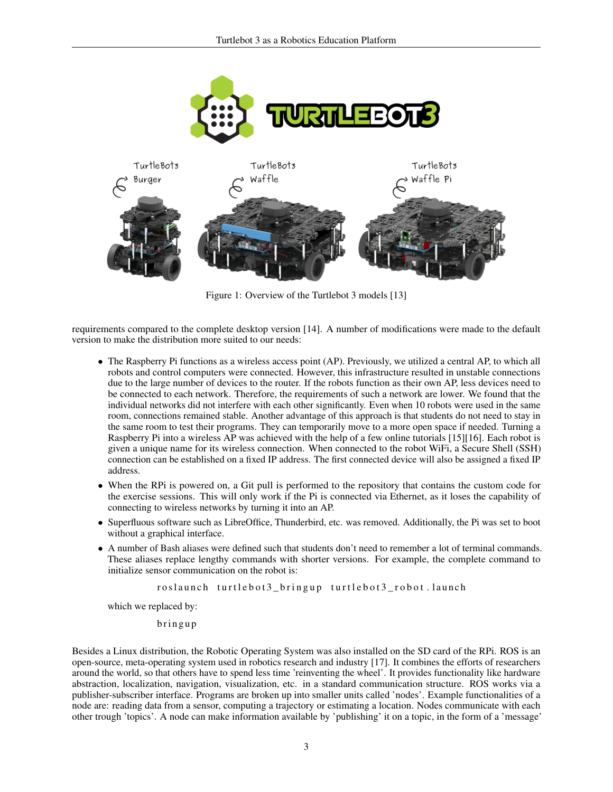<span id="page-2-0"></span>

Figure 1: Overview of the Turtlebot 3 models [\[13\]](#page-7-12)

requirements compared to the complete desktop version [\[14\]](#page-7-13). A number of modifications were made to the default version to make the distribution more suited to our needs:

- The Raspberry Pi functions as a wireless access point (AP). Previously, we utilized a central AP, to which all robots and control computers were connected. However, this infrastructure resulted in unstable connections due to the large number of devices to the router. If the robots function as their own AP, less devices need to be connected to each network. Therefore, the requirements of such a network are lower. We found that the individual networks did not interfere with each other significantly. Even when 10 robots were used in the same room, connections remained stable. Another advantage of this approach is that students do not need to stay in the same room to test their programs. They can temporarily move to a more open space if needed. Turning a Raspberry Pi into a wireless AP was achieved with the help of a few online tutorials [\[15\]](#page-7-14)[\[16\]](#page-7-15). Each robot is given a unique name for its wireless connection. When connected to the robot WiFi, a Secure Shell (SSH) connection can be established on a fixed IP address. The first connected device will also be assigned a fixed IP address.
- When the RPi is powered on, a Git pull is performed to the repository that contains the custom code for the exercise sessions. This will only work if the Pi is connected via Ethernet, as it loses the capability of connecting to wireless networks by turning it into an AP.
- Superfluous software such as LibreOffice, Thunderbird, etc. was removed. Additionally, the Pi was set to boot without a graphical interface.
- A number of Bash aliases were defined such that students don't need to remember a lot of terminal commands. These aliases replace lengthy commands with shorter versions. For example, the complete command to initialize sensor communication on the robot is:

roslaunch turtlebot3\_bringup turtlebot3\_robot.launch

which we replaced by:

bringup

Besides a Linux distribution, the Robotic Operating System was also installed on the SD card of the RPi. ROS is an open-source, meta-operating system used in robotics research and industry [\[17\]](#page-7-16). It combines the efforts of researchers around the world, so that others have to spend less time 'reinventing the wheel'. It provides functionality like hardware abstraction, localization, navigation, visualization, etc. in a standard communication structure. ROS works via a publisher-subscriber interface. Programs are broken up into smaller units called 'nodes'. Example functionalities of a node are: reading data from a sensor, computing a trajectory or estimating a location. Nodes communicate with each other trough 'topics'. A node can make information available by 'publishing' it on a topic, in the form of a 'message'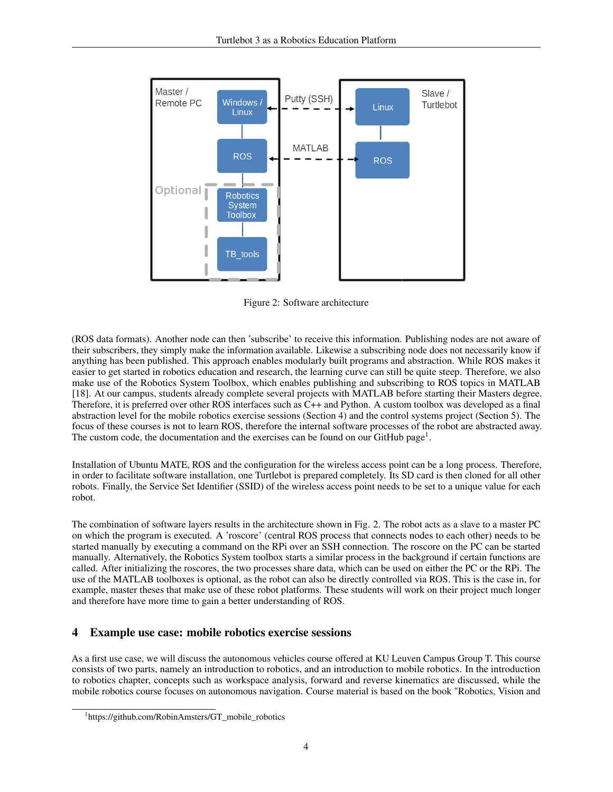<span id="page-3-1"></span>

Figure 2: Software architecture

(ROS data formats). Another node can then 'subscribe' to receive this information. Publishing nodes are not aware of their subscribers, they simply make the information available. Likewise a subscribing node does not necessarily know if anything has been published. This approach enables modularly built programs and abstraction. While ROS makes it easier to get started in robotics education and research, the learning curve can still be quite steep. Therefore, we also make use of the Robotics System Toolbox, which enables publishing and subscribing to ROS topics in MATLAB [\[18\]](#page-7-17). At our campus, students already complete several projects with MATLAB before starting their Masters degree. Therefore, it is preferred over other ROS interfaces such as C++ and Python. A custom toolbox was developed as a final abstraction level for the mobile robotics exercise sessions (Section [4\)](#page-3-0) and the control systems project (Section [5\)](#page-4-0). The focus of these courses is not to learn ROS, therefore the internal software processes of the robot are abstracted away. The custom code, the documentation and the exercises can be found on our GitHub page<sup>[1](#page-3-2)</sup>.

Installation of Ubuntu MATE, ROS and the configuration for the wireless access point can be a long process. Therefore, in order to facilitate software installation, one Turtlebot is prepared completely. Its SD card is then cloned for all other robots. Finally, the Service Set Identifier (SSID) of the wireless access point needs to be set to a unique value for each robot.

The combination of software layers results in the architecture shown in Fig. [2.](#page-3-1) The robot acts as a slave to a master PC on which the program is executed. A 'roscore' (central ROS process that connects nodes to each other) needs to be started manually by executing a command on the RPi over an SSH connection. The roscore on the PC can be started manually. Alternatively, the Robotics System toolbox starts a similar process in the background if certain functions are called. After initializing the roscores, the two processes share data, which can be used on either the PC or the RPi. The use of the MATLAB toolboxes is optional, as the robot can also be directly controlled via ROS. This is the case in, for example, master theses that make use of these robot platforms. These students will work on their project much longer and therefore have more time to gain a better understanding of ROS.

# <span id="page-3-0"></span>4 Example use case: mobile robotics exercise sessions

As a first use case, we will discuss the autonomous vehicles course offered at KU Leuven Campus Group T. This course consists of two parts, namely an introduction to robotics, and an introduction to mobile robotics. In the introduction to robotics chapter, concepts such as workspace analysis, forward and reverse kinematics are discussed, while the mobile robotics course focuses on autonomous navigation. Course material is based on the book "Robotics, Vision and

<span id="page-3-2"></span><sup>1</sup> [https://github.com/RobinAmsters/GT\\_mobile\\_robotics](https://github.com/RobinAmsters/GT_mobile_robotics)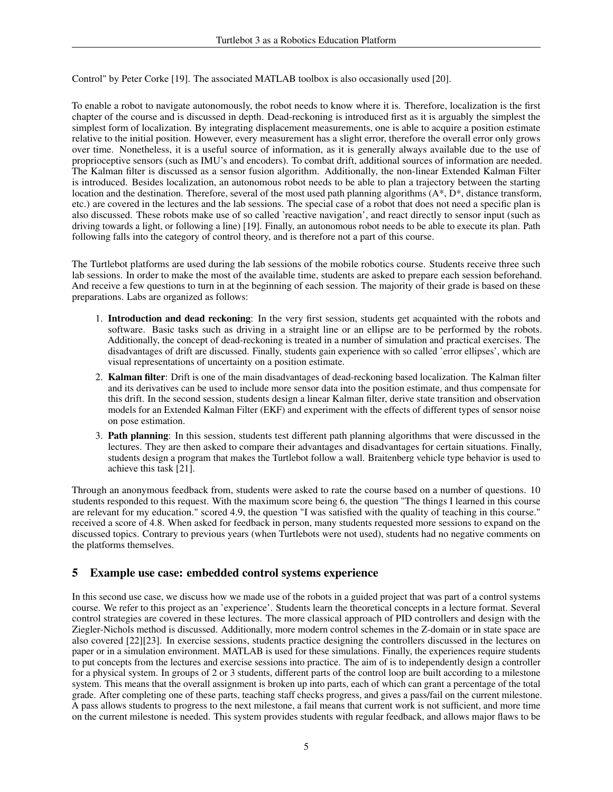Control" by Peter Corke [\[19\]](#page-7-18). The associated MATLAB toolbox is also occasionally used [\[20\]](#page-7-19).

To enable a robot to navigate autonomously, the robot needs to know where it is. Therefore, localization is the first chapter of the course and is discussed in depth. Dead-reckoning is introduced first as it is arguably the simplest the simplest form of localization. By integrating displacement measurements, one is able to acquire a position estimate relative to the initial position. However, every measurement has a slight error, therefore the overall error only grows over time. Nonetheless, it is a useful source of information, as it is generally always available due to the use of proprioceptive sensors (such as IMU's and encoders). To combat drift, additional sources of information are needed. The Kalman filter is discussed as a sensor fusion algorithm. Additionally, the non-linear Extended Kalman Filter is introduced. Besides localization, an autonomous robot needs to be able to plan a trajectory between the starting location and the destination. Therefore, several of the most used path planning algorithms  $(A^*, \dot{D}^*, \dot{D}^*)$  distance transform, etc.) are covered in the lectures and the lab sessions. The special case of a robot that does not need a specific plan is also discussed. These robots make use of so called 'reactive navigation', and react directly to sensor input (such as driving towards a light, or following a line) [\[19\]](#page-7-18). Finally, an autonomous robot needs to be able to execute its plan. Path following falls into the category of control theory, and is therefore not a part of this course.

The Turtlebot platforms are used during the lab sessions of the mobile robotics course. Students receive three such lab sessions. In order to make the most of the available time, students are asked to prepare each session beforehand. And receive a few questions to turn in at the beginning of each session. The majority of their grade is based on these preparations. Labs are organized as follows:

- 1. Introduction and dead reckoning: In the very first session, students get acquainted with the robots and software. Basic tasks such as driving in a straight line or an ellipse are to be performed by the robots. Additionally, the concept of dead-reckoning is treated in a number of simulation and practical exercises. The disadvantages of drift are discussed. Finally, students gain experience with so called 'error ellipses', which are visual representations of uncertainty on a position estimate.
- 2. Kalman filter: Drift is one of the main disadvantages of dead-reckoning based localization. The Kalman filter and its derivatives can be used to include more sensor data into the position estimate, and thus compensate for this drift. In the second session, students design a linear Kalman filter, derive state transition and observation models for an Extended Kalman Filter (EKF) and experiment with the effects of different types of sensor noise on pose estimation.
- 3. Path planning: In this session, students test different path planning algorithms that were discussed in the lectures. They are then asked to compare their advantages and disadvantages for certain situations. Finally, students design a program that makes the Turtlebot follow a wall. Braitenberg vehicle type behavior is used to achieve this task [\[21\]](#page-7-20).

Through an anonymous feedback from, students were asked to rate the course based on a number of questions. 10 students responded to this request. With the maximum score being 6, the question "The things I learned in this course are relevant for my education." scored 4.9, the question "I was satisfied with the quality of teaching in this course." received a score of 4.8. When asked for feedback in person, many students requested more sessions to expand on the discussed topics. Contrary to previous years (when Turtlebots were not used), students had no negative comments on the platforms themselves.

# <span id="page-4-0"></span>5 Example use case: embedded control systems experience

In this second use case, we discuss how we made use of the robots in a guided project that was part of a control systems course. We refer to this project as an 'experience'. Students learn the theoretical concepts in a lecture format. Several control strategies are covered in these lectures. The more classical approach of PID controllers and design with the Ziegler-Nichols method is discussed. Additionally, more modern control schemes in the Z-domain or in state space are also covered [\[22\]](#page-7-21)[\[23\]](#page-7-22). In exercise sessions, students practice designing the controllers discussed in the lectures on paper or in a simulation environment. MATLAB is used for these simulations. Finally, the experiences require students to put concepts from the lectures and exercise sessions into practice. The aim of is to independently design a controller for a physical system. In groups of 2 or 3 students, different parts of the control loop are built according to a milestone system. This means that the overall assignment is broken up into parts, each of which can grant a percentage of the total grade. After completing one of these parts, teaching staff checks progress, and gives a pass/fail on the current milestone. A pass allows students to progress to the next milestone, a fail means that current work is not sufficient, and more time on the current milestone is needed. This system provides students with regular feedback, and allows major flaws to be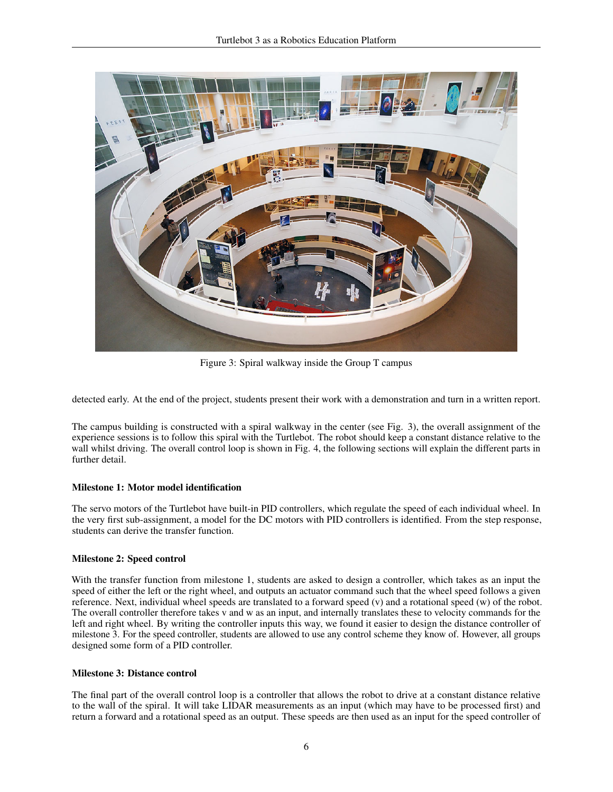<span id="page-5-0"></span>

Figure 3: Spiral walkway inside the Group T campus

detected early. At the end of the project, students present their work with a demonstration and turn in a written report.

The campus building is constructed with a spiral walkway in the center (see Fig. [3\)](#page-5-0), the overall assignment of the experience sessions is to follow this spiral with the Turtlebot. The robot should keep a constant distance relative to the wall whilst driving. The overall control loop is shown in Fig. [4,](#page-6-1) the following sections will explain the different parts in further detail.

#### Milestone 1: Motor model identification

The servo motors of the Turtlebot have built-in PID controllers, which regulate the speed of each individual wheel. In the very first sub-assignment, a model for the DC motors with PID controllers is identified. From the step response, students can derive the transfer function.

#### Milestone 2: Speed control

With the transfer function from milestone 1, students are asked to design a controller, which takes as an input the speed of either the left or the right wheel, and outputs an actuator command such that the wheel speed follows a given reference. Next, individual wheel speeds are translated to a forward speed (v) and a rotational speed (w) of the robot. The overall controller therefore takes v and w as an input, and internally translates these to velocity commands for the left and right wheel. By writing the controller inputs this way, we found it easier to design the distance controller of milestone 3. For the speed controller, students are allowed to use any control scheme they know of. However, all groups designed some form of a PID controller.

#### Milestone 3: Distance control

The final part of the overall control loop is a controller that allows the robot to drive at a constant distance relative to the wall of the spiral. It will take LIDAR measurements as an input (which may have to be processed first) and return a forward and a rotational speed as an output. These speeds are then used as an input for the speed controller of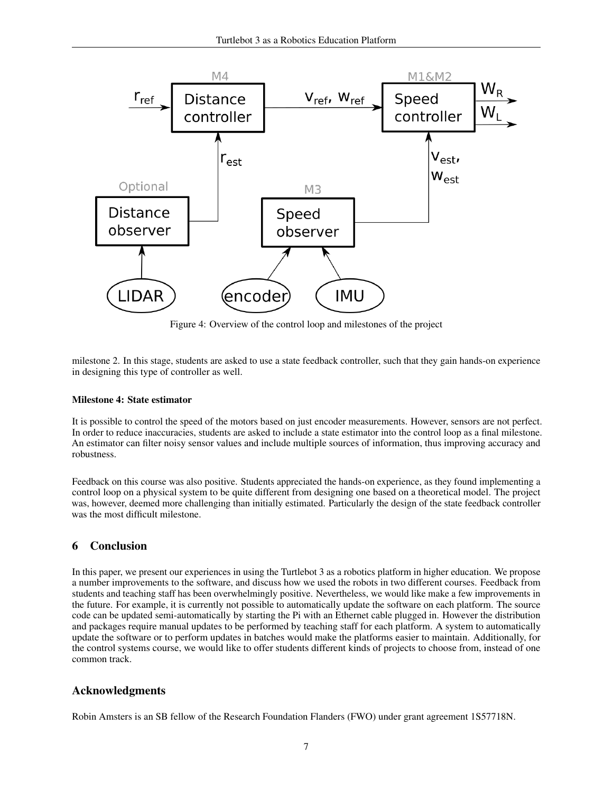<span id="page-6-1"></span>

Figure 4: Overview of the control loop and milestones of the project

milestone 2. In this stage, students are asked to use a state feedback controller, such that they gain hands-on experience in designing this type of controller as well.

#### Milestone 4: State estimator

It is possible to control the speed of the motors based on just encoder measurements. However, sensors are not perfect. In order to reduce inaccuracies, students are asked to include a state estimator into the control loop as a final milestone. An estimator can filter noisy sensor values and include multiple sources of information, thus improving accuracy and robustness.

Feedback on this course was also positive. Students appreciated the hands-on experience, as they found implementing a control loop on a physical system to be quite different from designing one based on a theoretical model. The project was, however, deemed more challenging than initially estimated. Particularly the design of the state feedback controller was the most difficult milestone.

# <span id="page-6-0"></span>6 Conclusion

In this paper, we present our experiences in using the Turtlebot 3 as a robotics platform in higher education. We propose a number improvements to the software, and discuss how we used the robots in two different courses. Feedback from students and teaching staff has been overwhelmingly positive. Nevertheless, we would like make a few improvements in the future. For example, it is currently not possible to automatically update the software on each platform. The source code can be updated semi-automatically by starting the Pi with an Ethernet cable plugged in. However the distribution and packages require manual updates to be performed by teaching staff for each platform. A system to automatically update the software or to perform updates in batches would make the platforms easier to maintain. Additionally, for the control systems course, we would like to offer students different kinds of projects to choose from, instead of one common track.

# Acknowledgments

Robin Amsters is an SB fellow of the Research Foundation Flanders (FWO) under grant agreement 1S57718N.